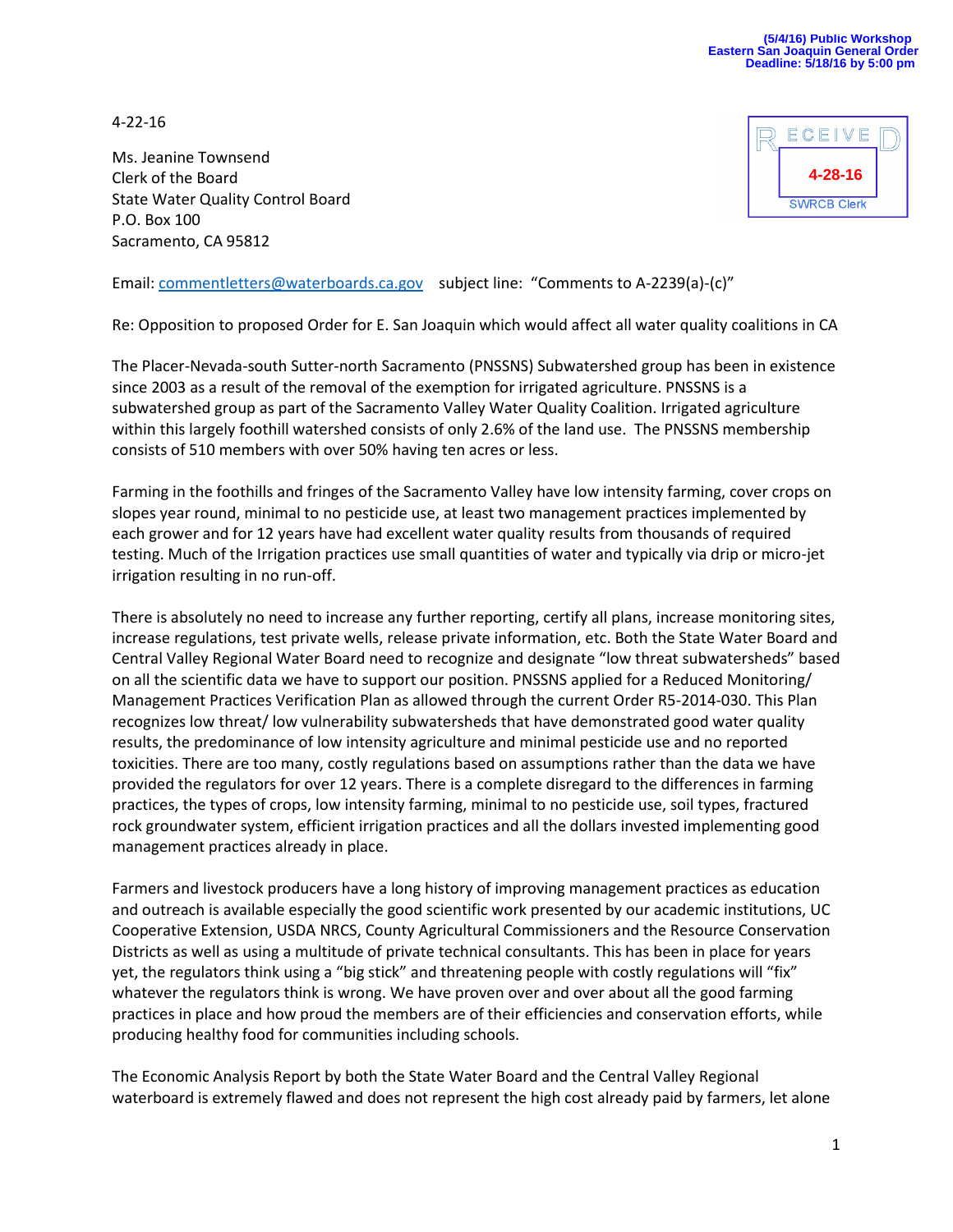4-22-16

Ms. Jeanine Townsend Clerk of the Board State Water Quality Control Board P.O. Box 100 Sacramento, CA 95812



Email: [commentletters@waterboards.ca.gov](mailto:commentletters@waterboards.ca.gov) subject line: "Comments to A-2239(a)-(c)"

Re: Opposition to proposed Order for E. San Joaquin which would affect all water quality coalitions in CA

The Placer-Nevada-south Sutter-north Sacramento (PNSSNS) Subwatershed group has been in existence since 2003 as a result of the removal of the exemption for irrigated agriculture. PNSSNS is a subwatershed group as part of the Sacramento Valley Water Quality Coalition. Irrigated agriculture within this largely foothill watershed consists of only 2.6% of the land use. The PNSSNS membership consists of 510 members with over 50% having ten acres or less.

Farming in the foothills and fringes of the Sacramento Valley have low intensity farming, cover crops on slopes year round, minimal to no pesticide use, at least two management practices implemented by each grower and for 12 years have had excellent water quality results from thousands of required testing. Much of the Irrigation practices use small quantities of water and typically via drip or micro-jet irrigation resulting in no run-off.

There is absolutely no need to increase any further reporting, certify all plans, increase monitoring sites, increase regulations, test private wells, release private information, etc. Both the State Water Board and Central Valley Regional Water Board need to recognize and designate "low threat subwatersheds" based on all the scientific data we have to support our position. PNSSNS applied for a Reduced Monitoring/ Management Practices Verification Plan as allowed through the current Order R5-2014-030. This Plan recognizes low threat/ low vulnerability subwatersheds that have demonstrated good water quality results, the predominance of low intensity agriculture and minimal pesticide use and no reported toxicities. There are too many, costly regulations based on assumptions rather than the data we have provided the regulators for over 12 years. There is a complete disregard to the differences in farming practices, the types of crops, low intensity farming, minimal to no pesticide use, soil types, fractured rock groundwater system, efficient irrigation practices and all the dollars invested implementing good management practices already in place.

Farmers and livestock producers have a long history of improving management practices as education and outreach is available especially the good scientific work presented by our academic institutions, UC Cooperative Extension, USDA NRCS, County Agricultural Commissioners and the Resource Conservation Districts as well as using a multitude of private technical consultants. This has been in place for years yet, the regulators think using a "big stick" and threatening people with costly regulations will "fix" whatever the regulators think is wrong. We have proven over and over about all the good farming practices in place and how proud the members are of their efficiencies and conservation efforts, while producing healthy food for communities including schools.

The Economic Analysis Report by both the State Water Board and the Central Valley Regional waterboard is extremely flawed and does not represent the high cost already paid by farmers, let alone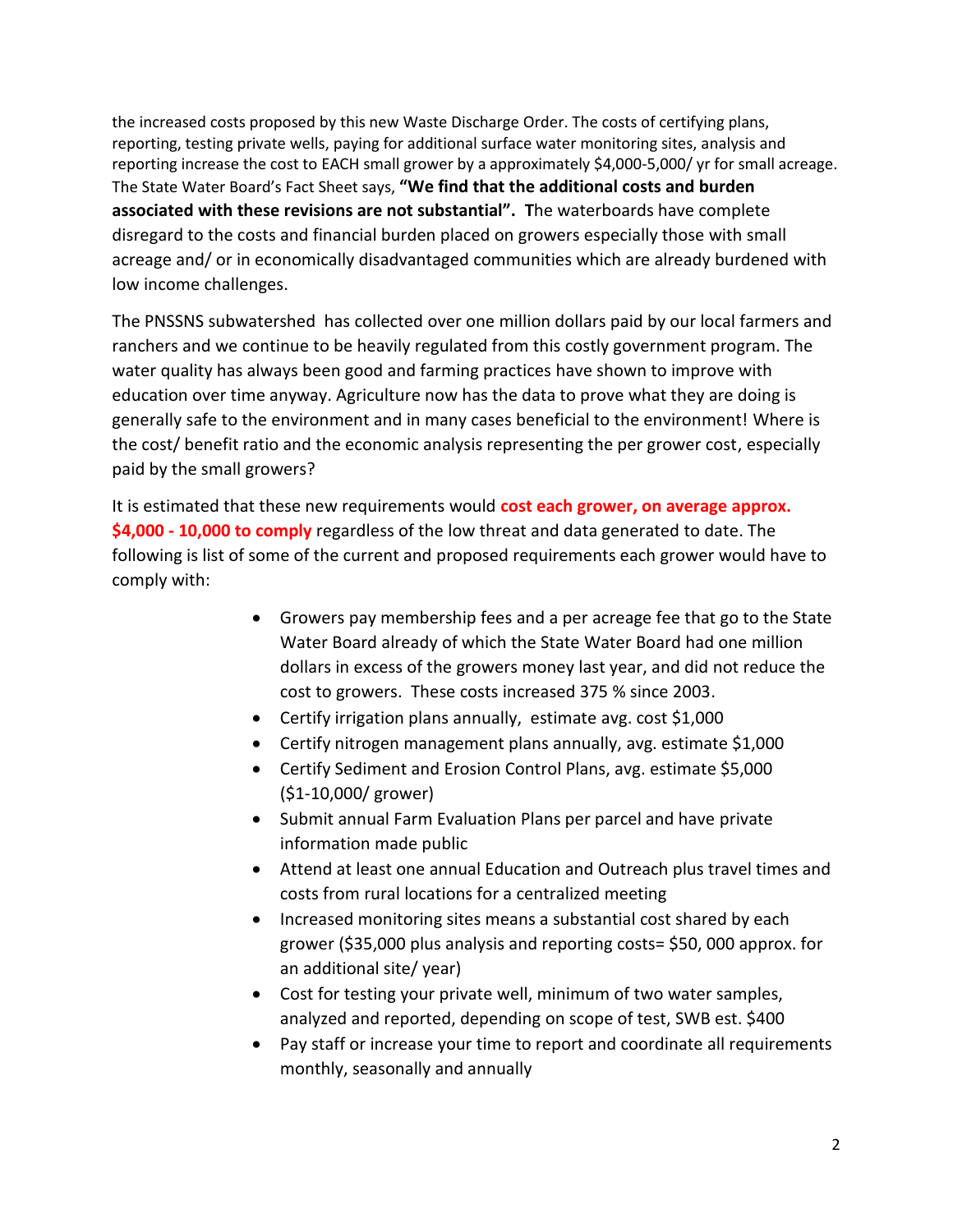the increased costs proposed by this new Waste Discharge Order. The costs of certifying plans, reporting, testing private wells, paying for additional surface water monitoring sites, analysis and reporting increase the cost to EACH small grower by a approximately \$4,000-5,000/ yr for small acreage. The State Water Board's Fact Sheet says, **"We find that the additional costs and burden associated with these revisions are not substantial". T**he waterboards have complete disregard to the costs and financial burden placed on growers especially those with small acreage and/ or in economically disadvantaged communities which are already burdened with low income challenges.

The PNSSNS subwatershed has collected over one million dollars paid by our local farmers and ranchers and we continue to be heavily regulated from this costly government program. The water quality has always been good and farming practices have shown to improve with education over time anyway. Agriculture now has the data to prove what they are doing is generally safe to the environment and in many cases beneficial to the environment! Where is the cost/ benefit ratio and the economic analysis representing the per grower cost, especially paid by the small growers?

It is estimated that these new requirements would **cost each grower, on average approx. \$4,000 - 10,000 to comply** regardless of the low threat and data generated to date. The following is list of some of the current and proposed requirements each grower would have to comply with:

- Growers pay membership fees and a per acreage fee that go to the State Water Board already of which the State Water Board had one million dollars in excess of the growers money last year, and did not reduce the cost to growers. These costs increased 375 % since 2003.
- Certify irrigation plans annually, estimate avg. cost \$1,000
- Certify nitrogen management plans annually, avg. estimate \$1,000
- Certify Sediment and Erosion Control Plans, avg. estimate \$5,000 (\$1-10,000/ grower)
- Submit annual Farm Evaluation Plans per parcel and have private information made public
- Attend at least one annual Education and Outreach plus travel times and costs from rural locations for a centralized meeting
- Increased monitoring sites means a substantial cost shared by each grower (\$35,000 plus analysis and reporting costs= \$50, 000 approx. for an additional site/ year)
- Cost for testing your private well, minimum of two water samples, analyzed and reported, depending on scope of test, SWB est. \$400
- Pay staff or increase your time to report and coordinate all requirements monthly, seasonally and annually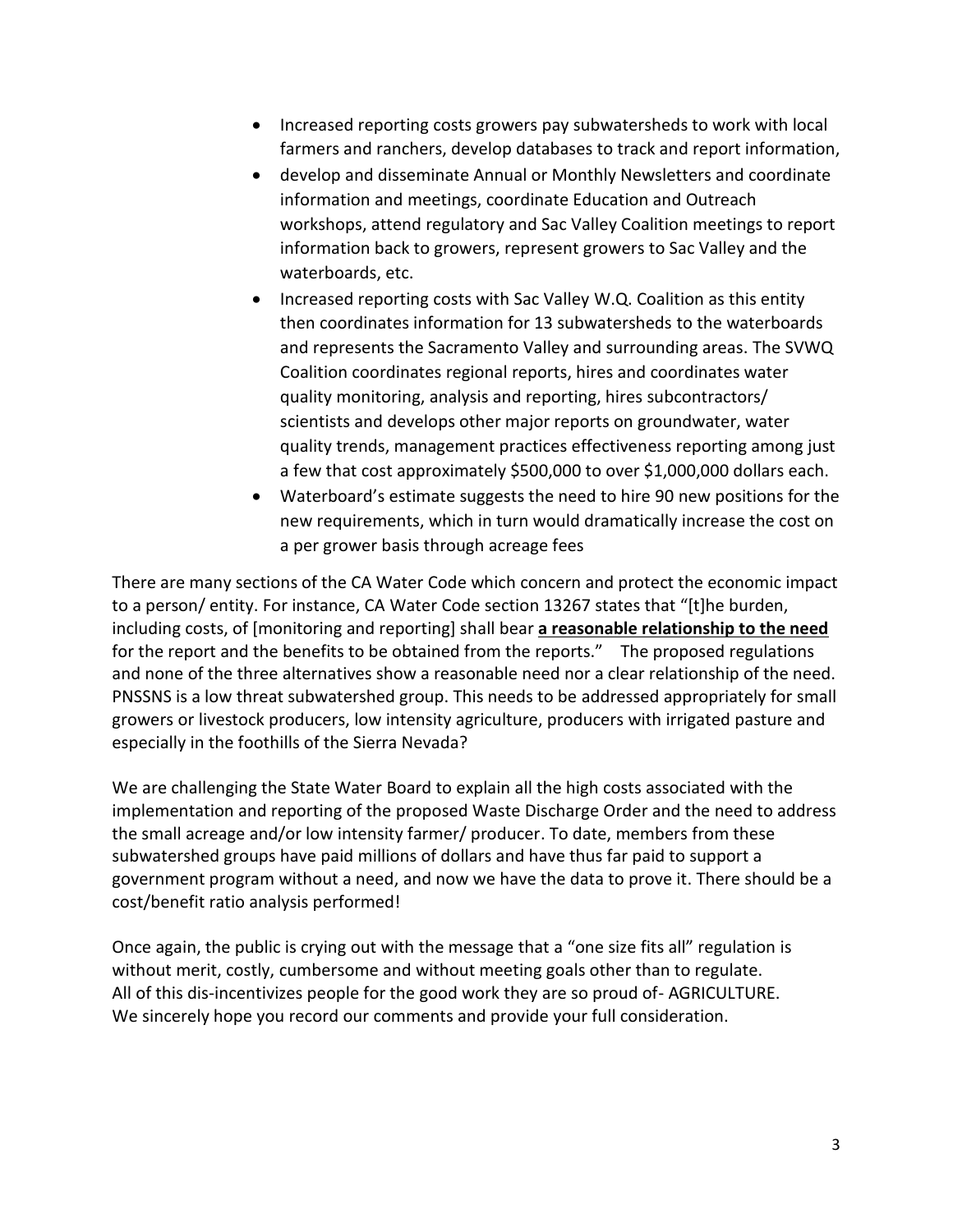- Increased reporting costs growers pay subwatersheds to work with local farmers and ranchers, develop databases to track and report information,
- develop and disseminate Annual or Monthly Newsletters and coordinate information and meetings, coordinate Education and Outreach workshops, attend regulatory and Sac Valley Coalition meetings to report information back to growers, represent growers to Sac Valley and the waterboards, etc.
- Increased reporting costs with Sac Valley W.Q. Coalition as this entity then coordinates information for 13 subwatersheds to the waterboards and represents the Sacramento Valley and surrounding areas. The SVWQ Coalition coordinates regional reports, hires and coordinates water quality monitoring, analysis and reporting, hires subcontractors/ scientists and develops other major reports on groundwater, water quality trends, management practices effectiveness reporting among just a few that cost approximately \$500,000 to over \$1,000,000 dollars each.
- Waterboard's estimate suggests the need to hire 90 new positions for the new requirements, which in turn would dramatically increase the cost on a per grower basis through acreage fees

There are many sections of the CA Water Code which concern and protect the economic impact to a person/ entity. For instance, CA Water Code section 13267 states that "[t]he burden, including costs, of [monitoring and reporting] shall bear **a reasonable relationship to the need** for the report and the benefits to be obtained from the reports." The proposed regulations and none of the three alternatives show a reasonable need nor a clear relationship of the need. PNSSNS is a low threat subwatershed group. This needs to be addressed appropriately for small growers or livestock producers, low intensity agriculture, producers with irrigated pasture and especially in the foothills of the Sierra Nevada?

We are challenging the State Water Board to explain all the high costs associated with the implementation and reporting of the proposed Waste Discharge Order and the need to address the small acreage and/or low intensity farmer/ producer. To date, members from these subwatershed groups have paid millions of dollars and have thus far paid to support a government program without a need, and now we have the data to prove it. There should be a cost/benefit ratio analysis performed!

Once again, the public is crying out with the message that a "one size fits all" regulation is without merit, costly, cumbersome and without meeting goals other than to regulate. All of this dis-incentivizes people for the good work they are so proud of- AGRICULTURE. We sincerely hope you record our comments and provide your full consideration.